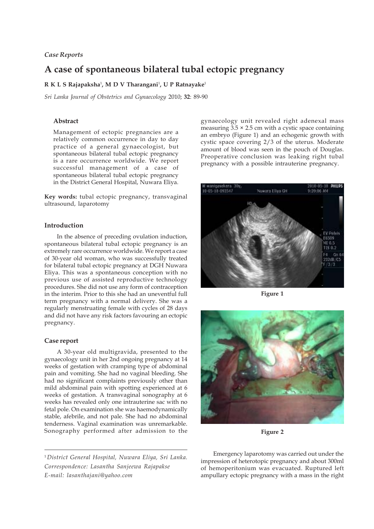## *Case Reports*

# **A case of spontaneous bilateral tubal ectopic pregnancy**

### **R K L S Rajapaksha**<sup>1</sup> **, M D V Tharangani**<sup>1</sup> **, U P Ratnayake**<sup>1</sup>

*Sri Lanka Journal of Obstetrics and Gynaecology* 2010; **32**: 89-90

### **Abstract**

Management of ectopic pregnancies are a relatively common occurrence in day to day practice of a general gynaecologist, but spontaneous bilateral tubal ectopic pregnancy is a rare occurrence worldwide. We report successful management of a case of spontaneous bilateral tubal ectopic pregnancy in the District General Hospital, Nuwara Eliya.

**Key words:** tubal ectopic pregnancy, transvaginal ultrasound, laparotomy

#### **Introduction**

In the absence of preceding ovulation induction, spontaneous bilateral tubal ectopic pregnancy is an extremely rare occurrence worldwide. We report a case of 30-year old woman, who was successfully treated for bilateral tubal ectopic pregnancy at DGH Nuwara Eliya. This was a spontaneous conception with no previous use of assisted reproductive technology procedures. She did not use any form of contraception in the interim. Prior to this she had an uneventful full term pregnancy with a normal delivery. She was a regularly menstruating female with cycles of 28 days and did not have any risk factors favouring an ectopic pregnancy.

## **Case report**

A 30-year old multigravida, presented to the gynaecology unit in her 2nd ongoing pregnancy at 14 weeks of gestation with cramping type of abdominal pain and vomiting. She had no vaginal bleeding. She had no significant complaints previously other than mild abdominal pain with spotting experienced at 6 weeks of gestation. A transvaginal sonography at 6 weeks has revealed only one intrauterine sac with no fetal pole. On examination she was haemodynamically stable, afebrile, and not pale. She had no abdominal tenderness. Vaginal examination was unremarkable. Sonography performed after admission to the

<sup>1</sup> *District General Hospital, Nuwara Eliya, Sri Lanka. Correspondence: Lasantha Sanjeewa Rajapakse E-mail: lasanthajani@yahoo.com*

gynaecology unit revealed right adenexal mass measuring  $3.5 \times 2.5$  cm with a cystic space containing an embryo (Figure 1) and an echogenic growth with cystic space covering 2/3 of the uterus. Moderate amount of blood was seen in the pouch of Douglas. Preoperative conclusion was leaking right tubal pregnancy with a possible intrauterine pregnancy.



**Figure 1**



**Figure 2**

Emergency laparotomy was carried out under the impression of heterotopic pregnancy and about 300ml of hemoperitonium was evacuated. Ruptured left ampullary ectopic pregnancy with a mass in the right